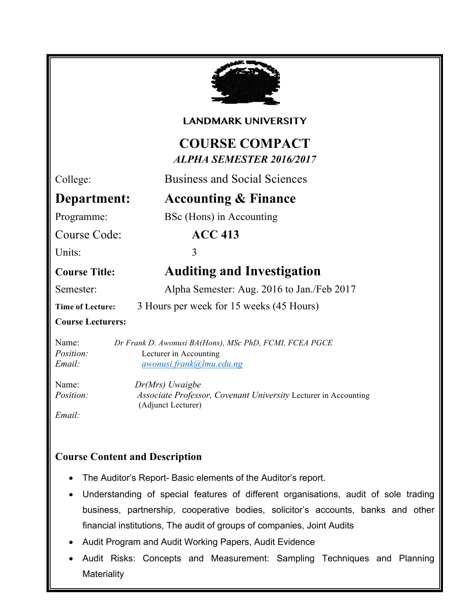

#### **LANDMARK UNIVERSITY**

# **COURSE COMPACT** *ALPHA SEMESTER 2016/2017*

## College: Business and Social Sciences

# **Department: Accounting & Finance**

Programme: BSc (Hons) in Accounting

Course Code: **ACC 413**

Units: 3

# **Course Title: Auditing and Investigation**

Semester: Alpha Semester: Aug. 2016 to Jan./Feb 2017

**Time of Lecture:** 3 Hours per week for 15 weeks (45 Hours)

#### **Course Lecturers:**

Name: *Dr Frank D. Awonusi BA(Hons), MSc PhD, FCMI, FCEA PGCE Position:* Lecturer in Accounting *Email: awonusi.frank@lmu.edu.ng*

Name: *Dr(Mrs) Uwaigbe Position: Associate Professor, Covenant University Lecturer in Accounting* (Adjunct Lecturer)

*Email:* 

### **Course Content and Description**

• Verification of Assets and Liabilities

- The Auditor's Report- Basic elements of the Auditor's report.
- Understanding of special features of different organisations, audit of sole trading business, partnership, cooperative bodies, solicitor's accounts, banks and other financial institutions, The audit of groups of companies, Joint Audits
- Audit Program and Audit Working Papers, Audit Evidence
- Audit Risks: Concepts and Measurement: Sampling Techniques and Planning **Materiality**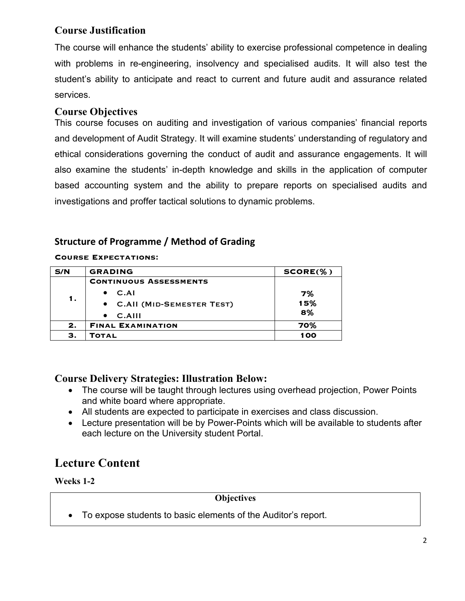#### **Course Justification**

The course will enhance the students' ability to exercise professional competence in dealing with problems in re-engineering, insolvency and specialised audits. It will also test the student's ability to anticipate and react to current and future audit and assurance related services.

#### **Course Objectives**

This course focuses on auditing and investigation of various companies' financial reports and development of Audit Strategy. It will examine students' understanding of regulatory and ethical considerations governing the conduct of audit and assurance engagements. It will also examine the students' in-depth knowledge and skills in the application of computer based accounting system and the ability to prepare reports on specialised audits and investigations and proffer tactical solutions to dynamic problems.

#### **Structure of Programme / Method of Grading**

**Course Expectations:**

| S/N | <b>GRADING</b>                | $SCORE(\% )$ |
|-----|-------------------------------|--------------|
| 1.  | <b>CONTINUOUS ASSESSMENTS</b> |              |
|     | C.AI                          | 7%           |
|     | • C.All (MID-SEMESTER TEST)   | 15%          |
|     | $C.$ AIII<br>$\bullet$        | 8%           |
| 2.  | <b>FINAL EXAMINATION</b>      | 70%          |
| З.  | TOTAL                         | 100          |

#### **Course Delivery Strategies: Illustration Below:**

- The course will be taught through lectures using overhead projection, Power Points and white board where appropriate.
- All students are expected to participate in exercises and class discussion.
- Lecture presentation will be by Power-Points which will be available to students after each lecture on the University student Portal.

# **Lecture Content**

**Weeks 1-2**

#### **Objectives**

• To expose students to basic elements of the Auditor's report.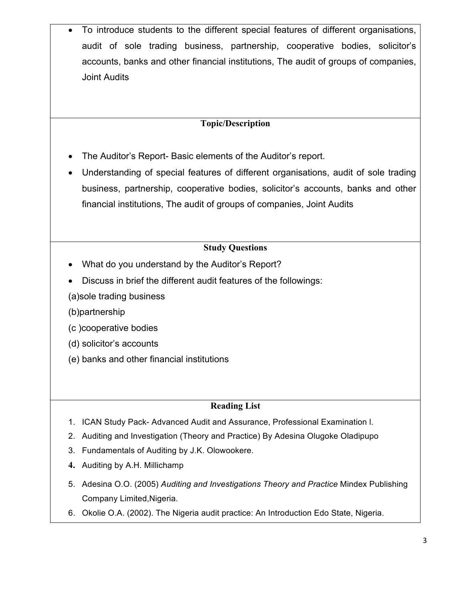• To introduce students to the different special features of different organisations, audit of sole trading business, partnership, cooperative bodies, solicitor's accounts, banks and other financial institutions, The audit of groups of companies, Joint Audits

#### **Topic/Description**

- The Auditor's Report- Basic elements of the Auditor's report.
- Understanding of special features of different organisations, audit of sole trading business, partnership, cooperative bodies, solicitor's accounts, banks and other financial institutions, The audit of groups of companies, Joint Audits

#### **Study Questions**

- What do you understand by the Auditor's Report?
- Discuss in brief the different audit features of the followings:
- (a)sole trading business

(b)partnership

- (c )cooperative bodies
- (d) solicitor's accounts
- (e) banks and other financial institutions

#### **Reading List**

- 1. ICAN Study Pack- Advanced Audit and Assurance, Professional Examination l.
- 2. Auditing and Investigation (Theory and Practice) By Adesina Olugoke Oladipupo
- 3. Fundamentals of Auditing by J.K. Olowookere.
- **4.** Auditing by A.H. Millichamp
- 5. Adesina O.O. (2005) *Auditing and Investigations Theory and Practice* Mindex Publishing Company Limited,Nigeria.
- 6. Okolie O.A. (2002). The Nigeria audit practice: An Introduction Edo State, Nigeria.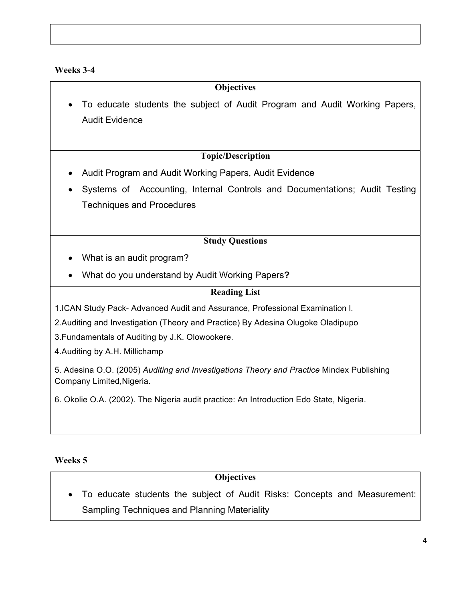#### **Weeks 3-4**

#### **Objectives**

• To educate students the subject of Audit Program and Audit Working Papers, Audit Evidence

#### **Topic/Description**

- Audit Program and Audit Working Papers, Audit Evidence
- Systems of Accounting, Internal Controls and Documentations; Audit Testing Techniques and Procedures

#### **Study Questions**

- What is an audit program?
- What do you understand by Audit Working Papers**?**

#### **Reading List**

- 1.ICAN Study Pack- Advanced Audit and Assurance, Professional Examination l.
- 2.Auditing and Investigation (Theory and Practice) By Adesina Olugoke Oladipupo
- 3.Fundamentals of Auditing by J.K. Olowookere.
- 4.Auditing by A.H. Millichamp

5. Adesina O.O. (2005) *Auditing and Investigations Theory and Practice* Mindex Publishing Company Limited,Nigeria.

6. Okolie O.A. (2002). The Nigeria audit practice: An Introduction Edo State, Nigeria.

#### **Weeks 5**

#### **Objectives**

• To educate students the subject of Audit Risks: Concepts and Measurement: Sampling Techniques and Planning Materiality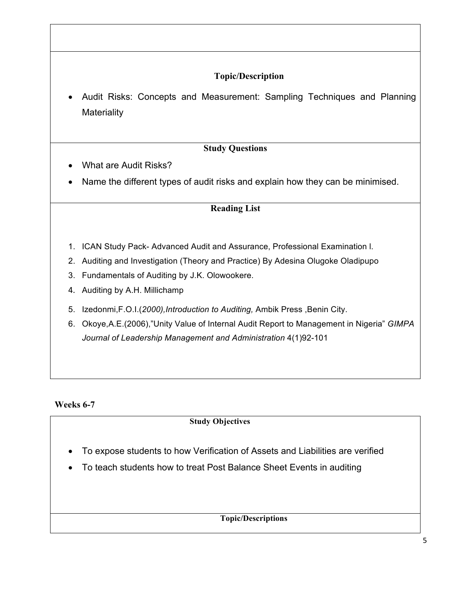#### **Topic/Description**

• Audit Risks: Concepts and Measurement: Sampling Techniques and Planning **Materiality** 

#### **Study Questions**

- What are Audit Risks?
- Name the different types of audit risks and explain how they can be minimised.

#### **Reading List**

- 1. ICAN Study Pack- Advanced Audit and Assurance, Professional Examination l.
- 2. Auditing and Investigation (Theory and Practice) By Adesina Olugoke Oladipupo
- 3. Fundamentals of Auditing by J.K. Olowookere.
- 4. Auditing by A.H. Millichamp
- 5. Izedonmi,F.O.I.(*2000),Introduction to Auditing,* Ambik Press ,Benin City.
- 6. Okoye,A.E.(2006),"Unity Value of Internal Audit Report to Management in Nigeria" *GIMPA Journal of Leadership Management and Administration* 4(1)92-101

#### **Weeks 6-7**

#### **Study Objectives**

- To expose students to how Verification of Assets and Liabilities are verified
- To teach students how to treat Post Balance Sheet Events in auditing

**Topic/Descriptions**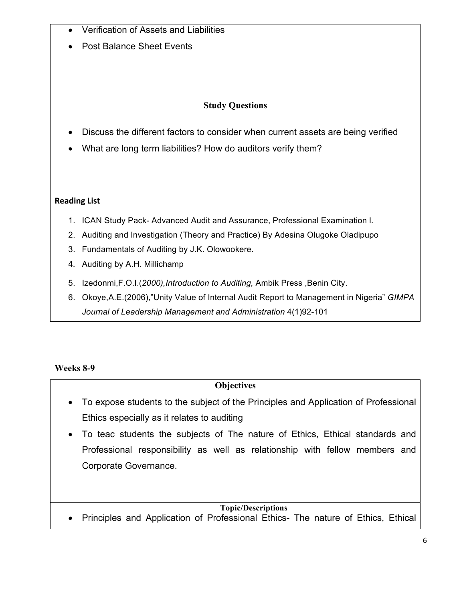|  | Verification of Assets and Liabilities |  |  |  |  |
|--|----------------------------------------|--|--|--|--|
|--|----------------------------------------|--|--|--|--|

• Post Balance Sheet Events

#### **Study Questions**

- Discuss the different factors to consider when current assets are being verified
- What are long term liabilities? How do auditors verify them?

#### **Reading List**

- 1. ICAN Study Pack- Advanced Audit and Assurance, Professional Examination l.
- 2. Auditing and Investigation (Theory and Practice) By Adesina Olugoke Oladipupo
- 3. Fundamentals of Auditing by J.K. Olowookere.
- 4. Auditing by A.H. Millichamp
- 5. Izedonmi,F.O.I.(*2000),Introduction to Auditing,* Ambik Press ,Benin City.
- 6. Okoye,A.E.(2006),"Unity Value of Internal Audit Report to Management in Nigeria" *GIMPA Journal of Leadership Management and Administration* 4(1)92-101

#### **Weeks 8-9**

#### **Objectives**

- To expose students to the subject of the Principles and Application of Professional Ethics especially as it relates to auditing
- To teac students the subjects of The nature of Ethics, Ethical standards and Professional responsibility as well as relationship with fellow members and Corporate Governance.

#### **Topic/Descriptions**

• Principles and Application of Professional Ethics- The nature of Ethics, Ethical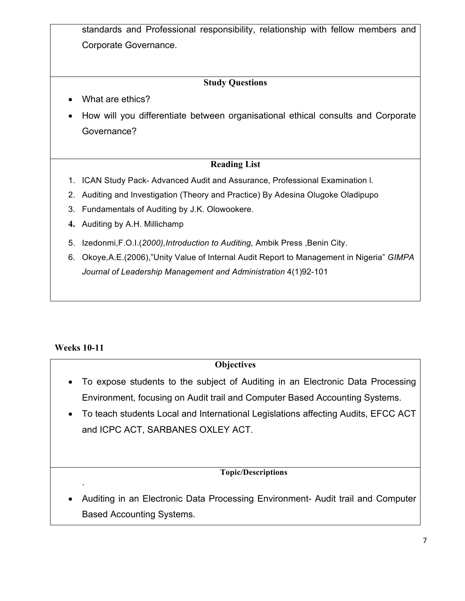standards and Professional responsibility, relationship with fellow members and Corporate Governance.

#### **Study Questions**

- What are ethics?
- How will you differentiate between organisational ethical consults and Corporate Governance?

#### **Reading List**

- 1. ICAN Study Pack- Advanced Audit and Assurance, Professional Examination l.
- 2. Auditing and Investigation (Theory and Practice) By Adesina Olugoke Oladipupo
- 3. Fundamentals of Auditing by J.K. Olowookere.
- **4.** Auditing by A.H. Millichamp
- 5. Izedonmi,F.O.I.(*2000),Introduction to Auditing,* Ambik Press ,Benin City.
- 6. Okoye,A.E.(2006),"Unity Value of Internal Audit Report to Management in Nigeria" *GIMPA Journal of Leadership Management and Administration* 4(1)92-101

#### **Weeks 10-11**

.

#### **Objectives**

- To expose students to the subject of Auditing in an Electronic Data Processing Environment, focusing on Audit trail and Computer Based Accounting Systems.
- To teach students Local and International Legislations affecting Audits, EFCC ACT and ICPC ACT, SARBANES OXLEY ACT.

#### **Topic/Descriptions**

• Auditing in an Electronic Data Processing Environment- Audit trail and Computer Based Accounting Systems.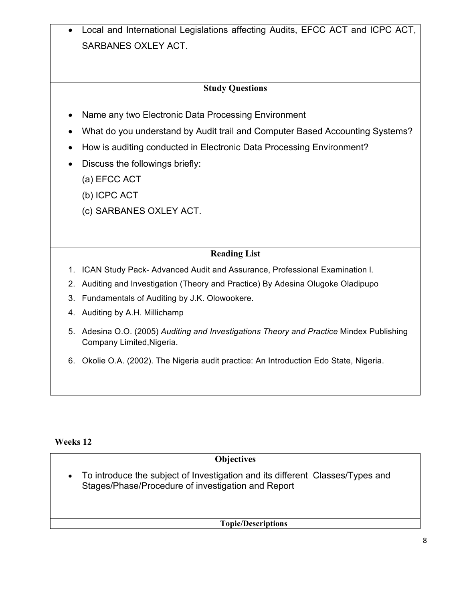• Local and International Legislations affecting Audits, EFCC ACT and ICPC ACT, SARBANES OXLEY ACT.

#### **Study Questions**

- Name any two Electronic Data Processing Environment
- What do you understand by Audit trail and Computer Based Accounting Systems?
- How is auditing conducted in Electronic Data Processing Environment?
- Discuss the followings briefly:
	- (a) EFCC ACT
	- (b) ICPC ACT
	- (c) SARBANES OXLEY ACT.

#### **Reading List**

- 1. ICAN Study Pack- Advanced Audit and Assurance, Professional Examination l.
- 2. Auditing and Investigation (Theory and Practice) By Adesina Olugoke Oladipupo
- 3. Fundamentals of Auditing by J.K. Olowookere.
- 4. Auditing by A.H. Millichamp
- 5. Adesina O.O. (2005) *Auditing and Investigations Theory and Practice* Mindex Publishing Company Limited,Nigeria.
- 6. Okolie O.A. (2002). The Nigeria audit practice: An Introduction Edo State, Nigeria.

#### **Weeks 12**

#### **Objectives**

• To introduce the subject of Investigation and its different Classes/Types and Stages/Phase/Procedure of investigation and Report

**Topic/Descriptions**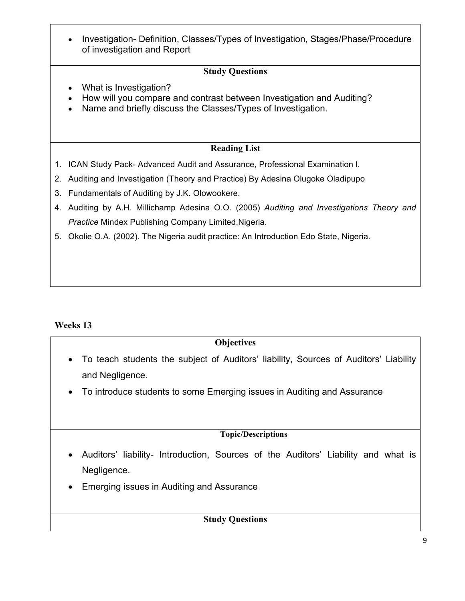• Investigation- Definition, Classes/Types of Investigation, Stages/Phase/Procedure of investigation and Report

#### **Study Questions**

- What is Investigation?
- How will you compare and contrast between Investigation and Auditing?
- Name and briefly discuss the Classes/Types of Investigation.

#### **Reading List**

- 1. ICAN Study Pack- Advanced Audit and Assurance, Professional Examination l.
- 2. Auditing and Investigation (Theory and Practice) By Adesina Olugoke Oladipupo
- 3. Fundamentals of Auditing by J.K. Olowookere.
- 4. Auditing by A.H. Millichamp Adesina O.O. (2005) *Auditing and Investigations Theory and Practice* Mindex Publishing Company Limited,Nigeria.
- 5. Okolie O.A. (2002). The Nigeria audit practice: An Introduction Edo State, Nigeria.

#### **Weeks 13**

#### **Objectives**

- To teach students the subject of Auditors' liability, Sources of Auditors' Liability and Negligence.
- To introduce students to some Emerging issues in Auditing and Assurance

#### **Topic/Descriptions**

- Auditors' liability- Introduction, Sources of the Auditors' Liability and what is Negligence.
- Emerging issues in Auditing and Assurance

#### **Study Questions**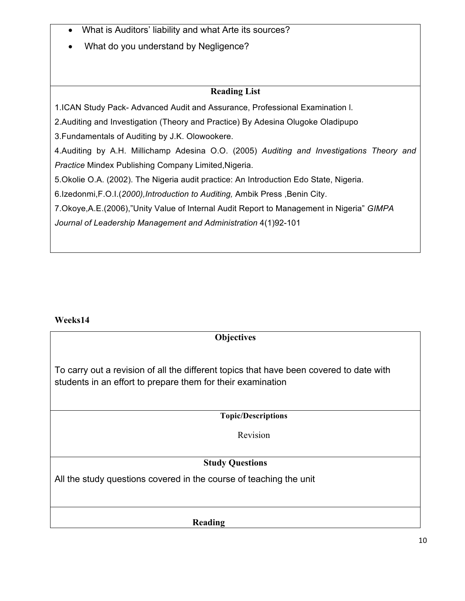- What is Auditors' liability and what Arte its sources?
- What do you understand by Negligence?

#### **Reading List**

1.ICAN Study Pack- Advanced Audit and Assurance, Professional Examination l.

2.Auditing and Investigation (Theory and Practice) By Adesina Olugoke Oladipupo

3.Fundamentals of Auditing by J.K. Olowookere.

4.Auditing by A.H. Millichamp Adesina O.O. (2005) *Auditing and Investigations Theory and Practice* Mindex Publishing Company Limited,Nigeria.

5.Okolie O.A. (2002). The Nigeria audit practice: An Introduction Edo State, Nigeria.

6.Izedonmi,F.O.I.(*2000),Introduction to Auditing,* Ambik Press ,Benin City.

7.Okoye,A.E.(2006),"Unity Value of Internal Audit Report to Management in Nigeria" *GIMPA* 

*Journal of Leadership Management and Administration* 4(1)92-101

#### **Weeks14**

#### **Objectives**

To carry out a revision of all the different topics that have been covered to date with students in an effort to prepare them for their examination

**Topic/Descriptions**

Revision

#### **Study Questions**

All the study questions covered in the course of teaching the unit

**Reading**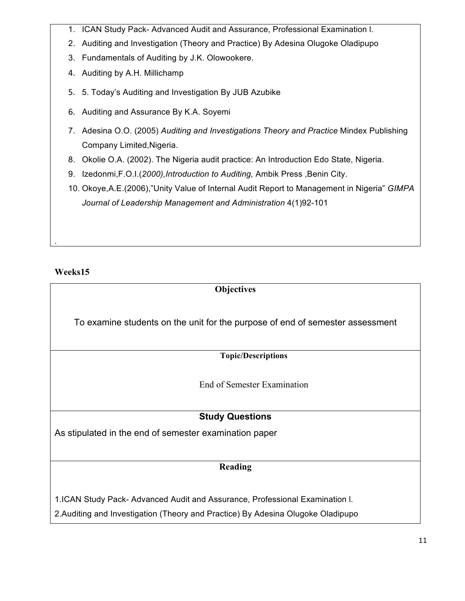- 1. ICAN Study Pack- Advanced Audit and Assurance, Professional Examination l.
- 2. Auditing and Investigation (Theory and Practice) By Adesina Olugoke Oladipupo
- 3. Fundamentals of Auditing by J.K. Olowookere.
- 4. Auditing by A.H. Millichamp
- 5. 5. Today's Auditing and Investigation By JUB Azubike
- 6. Auditing and Assurance By K.A. Soyemi
- 7. Adesina O.O. (2005) *Auditing and Investigations Theory and Practice* Mindex Publishing Company Limited,Nigeria.
- 8. Okolie O.A. (2002). The Nigeria audit practice: An Introduction Edo State, Nigeria.
- 9. Izedonmi,F.O.I.(*2000),Introduction to Auditing,* Ambik Press ,Benin City.
- 10. Okoye,A.E.(2006),"Unity Value of Internal Audit Report to Management in Nigeria" *GIMPA Journal of Leadership Management and Administration* 4(1)92-101

**Weeks15**

.

# **Objectives** To examine students on the unit for the purpose of end of semester assessment **Topic/Descriptions** End of Semester Examination **Study Questions** As stipulated in the end of semester examination paper **Reading** 1.ICAN Study Pack- Advanced Audit and Assurance, Professional Examination l. 2.Auditing and Investigation (Theory and Practice) By Adesina Olugoke Oladipupo